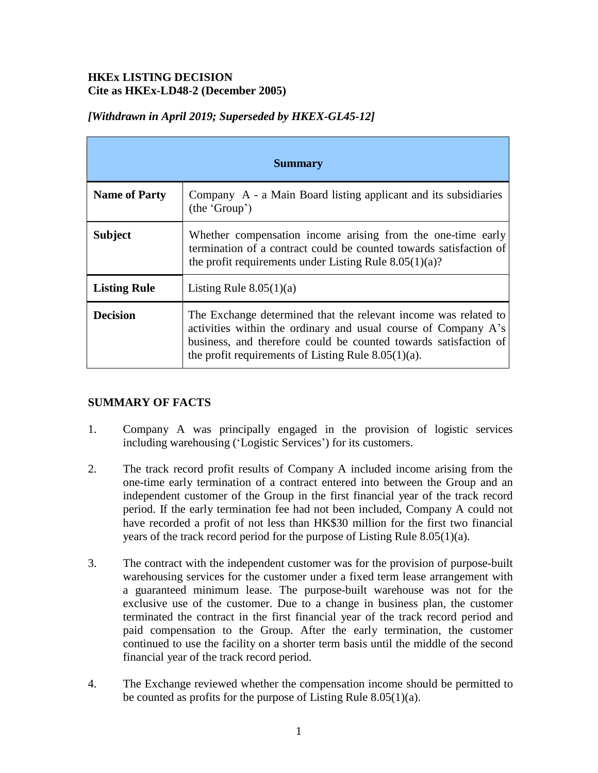### **HKEx LISTING DECISION Cite as HKEx-LD48-2 (December 2005)**

| <b>Summary</b>       |                                                                                                                                                                                                                                                                 |
|----------------------|-----------------------------------------------------------------------------------------------------------------------------------------------------------------------------------------------------------------------------------------------------------------|
| <b>Name of Party</b> | Company A - a Main Board listing applicant and its subsidiaries<br>(the 'Group')                                                                                                                                                                                |
| <b>Subject</b>       | Whether compensation income arising from the one-time early<br>termination of a contract could be counted towards satisfaction of<br>the profit requirements under Listing Rule $8.05(1)(a)$ ?                                                                  |
| <b>Listing Rule</b>  | Listing Rule $8.05(1)(a)$                                                                                                                                                                                                                                       |
| <b>Decision</b>      | The Exchange determined that the relevant income was related to<br>activities within the ordinary and usual course of Company A's<br>business, and therefore could be counted towards satisfaction of<br>the profit requirements of Listing Rule $8.05(1)(a)$ . |

# *[Withdrawn in April 2019; Superseded by HKEX-GL45-12]*

## **SUMMARY OF FACTS**

- 1. Company A was principally engaged in the provision of logistic services including warehousing ('Logistic Services') for its customers.
- 2. The track record profit results of Company A included income arising from the one-time early termination of a contract entered into between the Group and an independent customer of the Group in the first financial year of the track record period. If the early termination fee had not been included, Company A could not have recorded a profit of not less than HK\$30 million for the first two financial years of the track record period for the purpose of Listing Rule 8.05(1)(a).
- 3. The contract with the independent customer was for the provision of purpose-built warehousing services for the customer under a fixed term lease arrangement with a guaranteed minimum lease. The purpose-built warehouse was not for the exclusive use of the customer. Due to a change in business plan, the customer terminated the contract in the first financial year of the track record period and paid compensation to the Group. After the early termination, the customer continued to use the facility on a shorter term basis until the middle of the second financial year of the track record period.
- 4. The Exchange reviewed whether the compensation income should be permitted to be counted as profits for the purpose of Listing Rule 8.05(1)(a).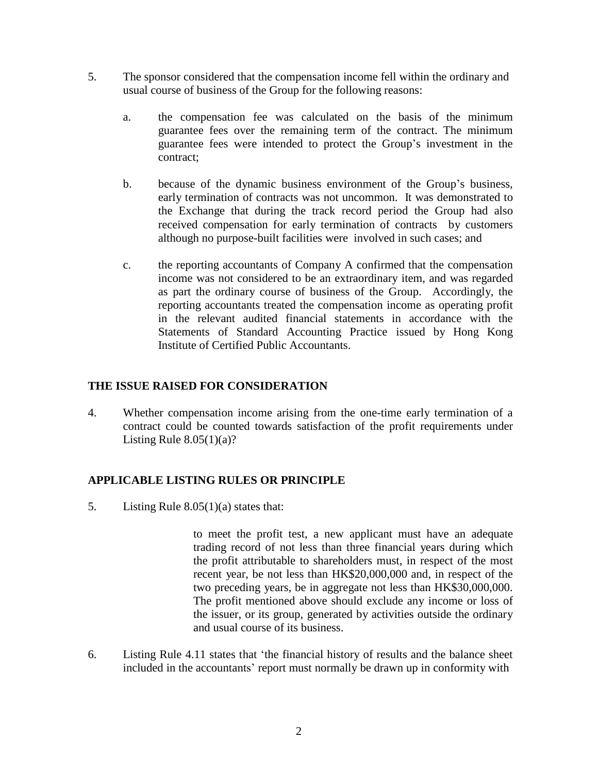- 5. The sponsor considered that the compensation income fell within the ordinary and usual course of business of the Group for the following reasons:
	- a. the compensation fee was calculated on the basis of the minimum guarantee fees over the remaining term of the contract. The minimum guarantee fees were intended to protect the Group's investment in the contract;
	- b. because of the dynamic business environment of the Group's business, early termination of contracts was not uncommon. It was demonstrated to the Exchange that during the track record period the Group had also received compensation for early termination of contracts by customers although no purpose-built facilities were involved in such cases; and
	- c. the reporting accountants of Company A confirmed that the compensation income was not considered to be an extraordinary item, and was regarded as part the ordinary course of business of the Group. Accordingly, the reporting accountants treated the compensation income as operating profit in the relevant audited financial statements in accordance with the Statements of Standard Accounting Practice issued by Hong Kong Institute of Certified Public Accountants.

## **THE ISSUE RAISED FOR CONSIDERATION**

4. Whether compensation income arising from the one-time early termination of a contract could be counted towards satisfaction of the profit requirements under Listing Rule  $8.05(1)(a)$ ?

## **APPLICABLE LISTING RULES OR PRINCIPLE**

5. Listing Rule 8.05(1)(a) states that:

to meet the profit test, a new applicant must have an adequate trading record of not less than three financial years during which the profit attributable to shareholders must, in respect of the most recent year, be not less than HK\$20,000,000 and, in respect of the two preceding years, be in aggregate not less than HK\$30,000,000. The profit mentioned above should exclude any income or loss of the issuer, or its group, generated by activities outside the ordinary and usual course of its business.

6. Listing Rule 4.11 states that 'the financial history of results and the balance sheet included in the accountants' report must normally be drawn up in conformity with